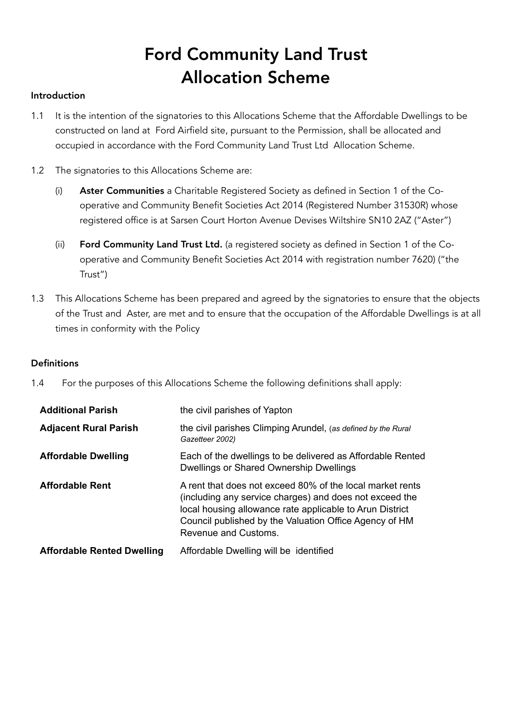# Ford Community Land Trust Allocation Scheme

### Introduction

- 1.1 It is the intention of the signatories to this Allocations Scheme that the Affordable Dwellings to be constructed on land at Ford Airfield site, pursuant to the Permission, shall be allocated and occupied in accordance with the Ford Community Land Trust Ltd Allocation Scheme.
- 1.2 The signatories to this Allocations Scheme are:
	- (i) Aster Communities a Charitable Registered Society as defined in Section 1 of the Cooperative and Community Benefit Societies Act 2014 (Registered Number 31530R) whose registered office is at Sarsen Court Horton Avenue Devises Wiltshire SN10 2AZ ("Aster")
	- (ii) Ford Community Land Trust Ltd. (a registered society as defined in Section 1 of the Cooperative and Community Benefit Societies Act 2014 with registration number 7620) ("the Trust")
- 1.3 This Allocations Scheme has been prepared and agreed by the signatories to ensure that the objects of the Trust and Aster, are met and to ensure that the occupation of the Affordable Dwellings is at all times in conformity with the Policy

#### **Definitions**

1.4 For the purposes of this Allocations Scheme the following definitions shall apply:

| <b>Additional Parish</b>          | the civil parishes of Yapton                                                                                                                                                                                                                                       |
|-----------------------------------|--------------------------------------------------------------------------------------------------------------------------------------------------------------------------------------------------------------------------------------------------------------------|
| <b>Adjacent Rural Parish</b>      | the civil parishes Climping Arundel, (as defined by the Rural<br>Gazetteer 2002)                                                                                                                                                                                   |
| <b>Affordable Dwelling</b>        | Each of the dwellings to be delivered as Affordable Rented<br>Dwellings or Shared Ownership Dwellings                                                                                                                                                              |
| <b>Affordable Rent</b>            | A rent that does not exceed 80% of the local market rents<br>(including any service charges) and does not exceed the<br>local housing allowance rate applicable to Arun District<br>Council published by the Valuation Office Agency of HM<br>Revenue and Customs. |
| <b>Affordable Rented Dwelling</b> | Affordable Dwelling will be identified                                                                                                                                                                                                                             |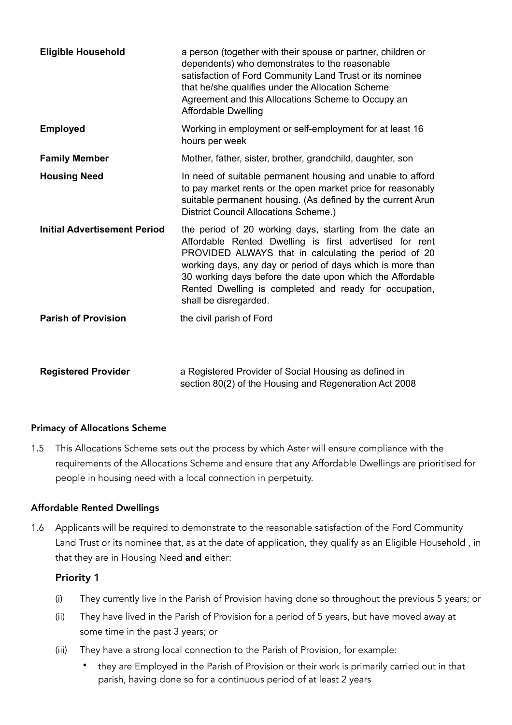| <b>Eligible Household</b>           | a person (together with their spouse or partner, children or<br>dependents) who demonstrates to the reasonable<br>satisfaction of Ford Community Land Trust or its nominee<br>that he/she qualifies under the Allocation Scheme<br>Agreement and this Allocations Scheme to Occupy an<br><b>Affordable Dwelling</b>                                                                       |
|-------------------------------------|-------------------------------------------------------------------------------------------------------------------------------------------------------------------------------------------------------------------------------------------------------------------------------------------------------------------------------------------------------------------------------------------|
| <b>Employed</b>                     | Working in employment or self-employment for at least 16<br>hours per week                                                                                                                                                                                                                                                                                                                |
| <b>Family Member</b>                | Mother, father, sister, brother, grandchild, daughter, son                                                                                                                                                                                                                                                                                                                                |
| <b>Housing Need</b>                 | In need of suitable permanent housing and unable to afford<br>to pay market rents or the open market price for reasonably<br>suitable permanent housing. (As defined by the current Arun<br>District Council Allocations Scheme.)                                                                                                                                                         |
| <b>Initial Advertisement Period</b> | the period of 20 working days, starting from the date an<br>Affordable Rented Dwelling is first advertised for rent<br>PROVIDED ALWAYS that in calculating the period of 20<br>working days, any day or period of days which is more than<br>30 working days before the date upon which the Affordable<br>Rented Dwelling is completed and ready for occupation,<br>shall be disregarded. |
| <b>Parish of Provision</b>          | the civil parish of Ford                                                                                                                                                                                                                                                                                                                                                                  |
| <b>Registered Provider</b>          | a Registered Provider of Social Housing as defined in<br>section 80(2) of the Housing and Regeneration Act 2008                                                                                                                                                                                                                                                                           |

### Primacy of Allocations Scheme

1.5 This Allocations Scheme sets out the process by which Aster will ensure compliance with the requirements of the Allocations Scheme and ensure that any Affordable Dwellings are prioritised for people in housing need with a local connection in perpetuity.

### Affordable Rented Dwellings

1.6 Applicants will be required to demonstrate to the reasonable satisfaction of the Ford Community Land Trust or its nominee that, as at the date of application, they qualify as an Eligible Household , in that they are in Housing Need and either:

### Priority 1

- (i) They currently live in the Parish of Provision having done so throughout the previous 5 years; or
- (ii) They have lived in the Parish of Provision for a period of 5 years, but have moved away at some time in the past 3 years; or
- (iii) They have a strong local connection to the Parish of Provision, for example:
	- they are Employed in the Parish of Provision or their work is primarily carried out in that parish, having done so for a continuous period of at least 2 years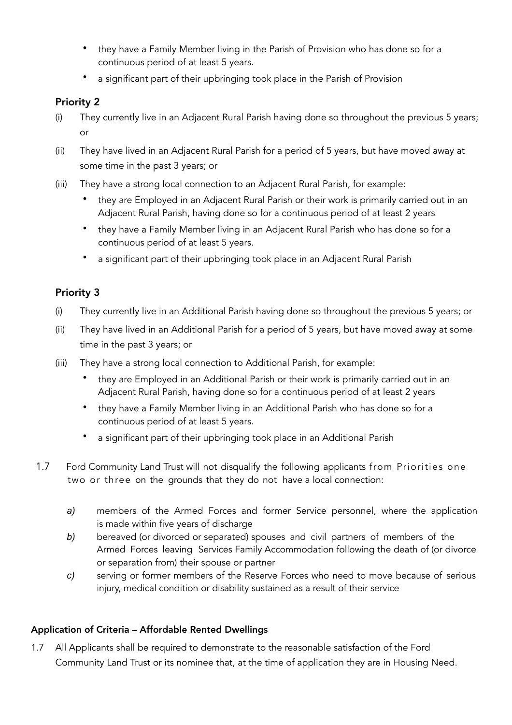- they have a Family Member living in the Parish of Provision who has done so for a continuous period of at least 5 years.
- a significant part of their upbringing took place in the Parish of Provision

### Priority 2

- (i) They currently live in an Adjacent Rural Parish having done so throughout the previous 5 years; or
- (ii) They have lived in an Adjacent Rural Parish for a period of 5 years, but have moved away at some time in the past 3 years; or
- (iii) They have a strong local connection to an Adjacent Rural Parish, for example:
	- they are Employed in an Adjacent Rural Parish or their work is primarily carried out in an Adjacent Rural Parish, having done so for a continuous period of at least 2 years
	- they have a Family Member living in an Adjacent Rural Parish who has done so for a continuous period of at least 5 years.
	- a significant part of their upbringing took place in an Adjacent Rural Parish

### Priority 3

- (i) They currently live in an Additional Parish having done so throughout the previous 5 years; or
- (ii) They have lived in an Additional Parish for a period of 5 years, but have moved away at some time in the past 3 years; or
- (iii) They have a strong local connection to Additional Parish, for example:
	- they are Employed in an Additional Parish or their work is primarily carried out in an Adjacent Rural Parish, having done so for a continuous period of at least 2 years
	- they have a Family Member living in an Additional Parish who has done so for a continuous period of at least 5 years.
	- a significant part of their upbringing took place in an Additional Parish
- 1.7 Ford Community Land Trust will not disqualify the following applicants from Priorities one two or three on the grounds that they do not have a local connection:
	- *a)* members of the Armed Forces and former Service personnel, where the application is made within five years of discharge
	- *b)* bereaved (or divorced or separated) spouses and civil partners of members of the Armed Forces leaving Services Family Accommodation following the death of (or divorce or separation from) their spouse or partner
	- *c)* serving or former members of the Reserve Forces who need to move because of serious injury, medical condition or disability sustained as a result of their service

### Application of Criteria – Affordable Rented Dwellings

1.7 All Applicants shall be required to demonstrate to the reasonable satisfaction of the Ford Community Land Trust or its nominee that, at the time of application they are in Housing Need.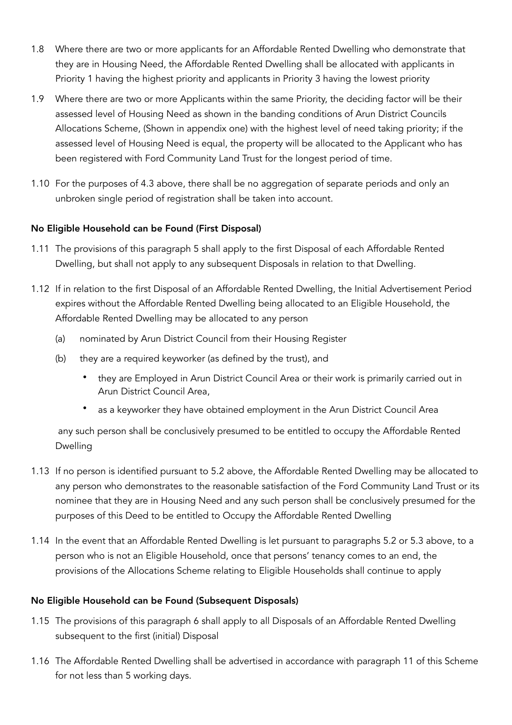- 1.8 Where there are two or more applicants for an Affordable Rented Dwelling who demonstrate that they are in Housing Need, the Affordable Rented Dwelling shall be allocated with applicants in Priority 1 having the highest priority and applicants in Priority 3 having the lowest priority
- 1.9 Where there are two or more Applicants within the same Priority, the deciding factor will be their assessed level of Housing Need as shown in the banding conditions of Arun District Councils Allocations Scheme, (Shown in appendix one) with the highest level of need taking priority; if the assessed level of Housing Need is equal, the property will be allocated to the Applicant who has been registered with Ford Community Land Trust for the longest period of time.
- 1.10 For the purposes of 4.3 above, there shall be no aggregation of separate periods and only an unbroken single period of registration shall be taken into account.

### No Eligible Household can be Found (First Disposal)

- 1.11 The provisions of this paragraph 5 shall apply to the first Disposal of each Affordable Rented Dwelling, but shall not apply to any subsequent Disposals in relation to that Dwelling.
- 1.12 If in relation to the first Disposal of an Affordable Rented Dwelling, the Initial Advertisement Period expires without the Affordable Rented Dwelling being allocated to an Eligible Household, the Affordable Rented Dwelling may be allocated to any person
	- (a) nominated by Arun District Council from their Housing Register
	- (b) they are a required keyworker (as defined by the trust), and
		- they are Employed in Arun District Council Area or their work is primarily carried out in Arun District Council Area,
		- as a keyworker they have obtained employment in the Arun District Council Area

any such person shall be conclusively presumed to be entitled to occupy the Affordable Rented Dwelling

- 1.13 If no person is identified pursuant to 5.2 above, the Affordable Rented Dwelling may be allocated to any person who demonstrates to the reasonable satisfaction of the Ford Community Land Trust or its nominee that they are in Housing Need and any such person shall be conclusively presumed for the purposes of this Deed to be entitled to Occupy the Affordable Rented Dwelling
- 1.14 In the event that an Affordable Rented Dwelling is let pursuant to paragraphs 5.2 or 5.3 above, to a person who is not an Eligible Household, once that persons' tenancy comes to an end, the provisions of the Allocations Scheme relating to Eligible Households shall continue to apply

### No Eligible Household can be Found (Subsequent Disposals)

- 1.15 The provisions of this paragraph 6 shall apply to all Disposals of an Affordable Rented Dwelling subsequent to the first (initial) Disposal
- 1.16 The Affordable Rented Dwelling shall be advertised in accordance with paragraph 11 of this Scheme for not less than 5 working days.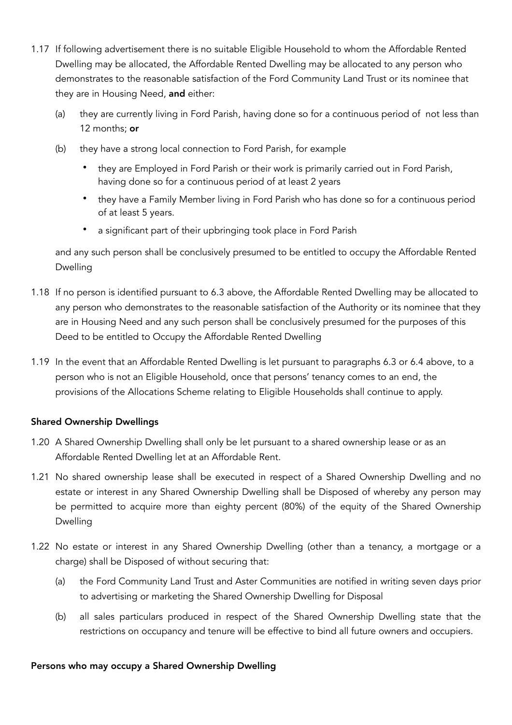- 1.17 If following advertisement there is no suitable Eligible Household to whom the Affordable Rented Dwelling may be allocated, the Affordable Rented Dwelling may be allocated to any person who demonstrates to the reasonable satisfaction of the Ford Community Land Trust or its nominee that they are in Housing Need, and either:
	- (a) they are currently living in Ford Parish, having done so for a continuous period of not less than 12 months: or
	- (b) they have a strong local connection to Ford Parish, for example
		- they are Employed in Ford Parish or their work is primarily carried out in Ford Parish, having done so for a continuous period of at least 2 years
		- they have a Family Member living in Ford Parish who has done so for a continuous period of at least 5 years.
		- a significant part of their upbringing took place in Ford Parish

and any such person shall be conclusively presumed to be entitled to occupy the Affordable Rented Dwelling

- 1.18 If no person is identified pursuant to 6.3 above, the Affordable Rented Dwelling may be allocated to any person who demonstrates to the reasonable satisfaction of the Authority or its nominee that they are in Housing Need and any such person shall be conclusively presumed for the purposes of this Deed to be entitled to Occupy the Affordable Rented Dwelling
- 1.19 In the event that an Affordable Rented Dwelling is let pursuant to paragraphs 6.3 or 6.4 above, to a person who is not an Eligible Household, once that persons' tenancy comes to an end, the provisions of the Allocations Scheme relating to Eligible Households shall continue to apply.

### Shared Ownership Dwellings

- 1.20 A Shared Ownership Dwelling shall only be let pursuant to a shared ownership lease or as an Affordable Rented Dwelling let at an Affordable Rent.
- 1.21 No shared ownership lease shall be executed in respect of a Shared Ownership Dwelling and no estate or interest in any Shared Ownership Dwelling shall be Disposed of whereby any person may be permitted to acquire more than eighty percent (80%) of the equity of the Shared Ownership Dwelling
- 1.22 No estate or interest in any Shared Ownership Dwelling (other than a tenancy, a mortgage or a charge) shall be Disposed of without securing that:
	- (a) the Ford Community Land Trust and Aster Communities are notified in writing seven days prior to advertising or marketing the Shared Ownership Dwelling for Disposal
	- (b) all sales particulars produced in respect of the Shared Ownership Dwelling state that the restrictions on occupancy and tenure will be effective to bind all future owners and occupiers.

### Persons who may occupy a Shared Ownership Dwelling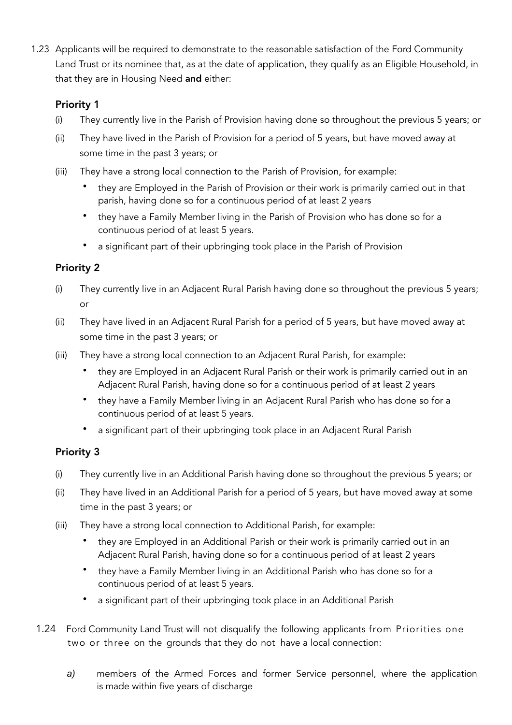1.23 Applicants will be required to demonstrate to the reasonable satisfaction of the Ford Community Land Trust or its nominee that, as at the date of application, they qualify as an Eligible Household, in that they are in Housing Need and either:

### Priority 1

- (i) They currently live in the Parish of Provision having done so throughout the previous 5 years; or
- (ii) They have lived in the Parish of Provision for a period of 5 years, but have moved away at some time in the past 3 years; or
- (iii) They have a strong local connection to the Parish of Provision, for example:
	- they are Employed in the Parish of Provision or their work is primarily carried out in that parish, having done so for a continuous period of at least 2 years
	- they have a Family Member living in the Parish of Provision who has done so for a continuous period of at least 5 years.
	- a significant part of their upbringing took place in the Parish of Provision

### Priority 2

- (i) They currently live in an Adjacent Rural Parish having done so throughout the previous 5 years; or
- (ii) They have lived in an Adjacent Rural Parish for a period of 5 years, but have moved away at some time in the past 3 years; or
- (iii) They have a strong local connection to an Adjacent Rural Parish, for example:
	- they are Employed in an Adjacent Rural Parish or their work is primarily carried out in an Adjacent Rural Parish, having done so for a continuous period of at least 2 years
	- they have a Family Member living in an Adjacent Rural Parish who has done so for a continuous period of at least 5 years.
	- a significant part of their upbringing took place in an Adjacent Rural Parish

### Priority 3

- (i) They currently live in an Additional Parish having done so throughout the previous 5 years; or
- (ii) They have lived in an Additional Parish for a period of 5 years, but have moved away at some time in the past 3 years; or
- (iii) They have a strong local connection to Additional Parish, for example:
	- they are Employed in an Additional Parish or their work is primarily carried out in an Adjacent Rural Parish, having done so for a continuous period of at least 2 years
	- they have a Family Member living in an Additional Parish who has done so for a continuous period of at least 5 years.
	- a significant part of their upbringing took place in an Additional Parish
- 1.24 Ford Community Land Trust will not disqualify the following applicants from Priorities one two or three on the grounds that they do not have a local connection:
	- *a)* members of the Armed Forces and former Service personnel, where the application is made within five years of discharge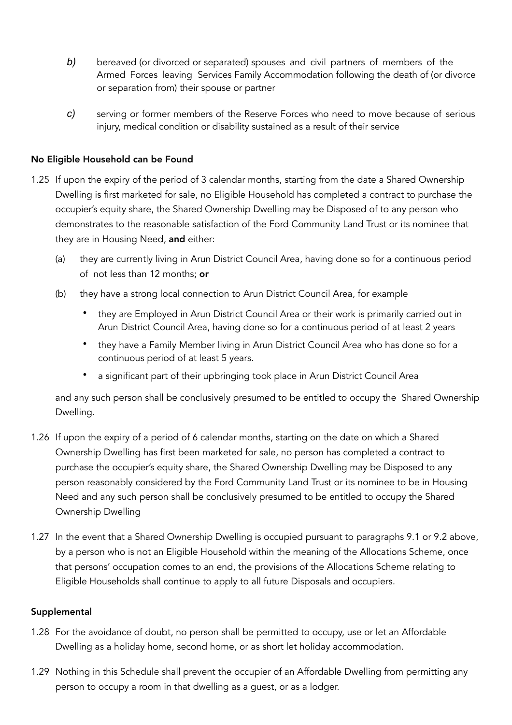- *b)* bereaved (or divorced or separated) spouses and civil partners of members of the Armed Forces leaving Services Family Accommodation following the death of (or divorce or separation from) their spouse or partner
- *c)* serving or former members of the Reserve Forces who need to move because of serious injury, medical condition or disability sustained as a result of their service

### No Eligible Household can be Found

- 1.25 If upon the expiry of the period of 3 calendar months, starting from the date a Shared Ownership Dwelling is first marketed for sale, no Eligible Household has completed a contract to purchase the occupier's equity share, the Shared Ownership Dwelling may be Disposed of to any person who demonstrates to the reasonable satisfaction of the Ford Community Land Trust or its nominee that they are in Housing Need, and either:
	- (a) they are currently living in Arun District Council Area, having done so for a continuous period of not less than 12 months; or
	- (b) they have a strong local connection to Arun District Council Area, for example
		- they are Employed in Arun District Council Area or their work is primarily carried out in Arun District Council Area, having done so for a continuous period of at least 2 years
		- they have a Family Member living in Arun District Council Area who has done so for a continuous period of at least 5 years.
		- a significant part of their upbringing took place in Arun District Council Area

and any such person shall be conclusively presumed to be entitled to occupy the Shared Ownership Dwelling.

- 1.26 If upon the expiry of a period of 6 calendar months, starting on the date on which a Shared Ownership Dwelling has first been marketed for sale, no person has completed a contract to purchase the occupier's equity share, the Shared Ownership Dwelling may be Disposed to any person reasonably considered by the Ford Community Land Trust or its nominee to be in Housing Need and any such person shall be conclusively presumed to be entitled to occupy the Shared Ownership Dwelling
- 1.27 In the event that a Shared Ownership Dwelling is occupied pursuant to paragraphs 9.1 or 9.2 above, by a person who is not an Eligible Household within the meaning of the Allocations Scheme, once that persons' occupation comes to an end, the provisions of the Allocations Scheme relating to Eligible Households shall continue to apply to all future Disposals and occupiers.

### Supplemental

- 1.28 For the avoidance of doubt, no person shall be permitted to occupy, use or let an Affordable Dwelling as a holiday home, second home, or as short let holiday accommodation.
- 1.29 Nothing in this Schedule shall prevent the occupier of an Affordable Dwelling from permitting any person to occupy a room in that dwelling as a guest, or as a lodger.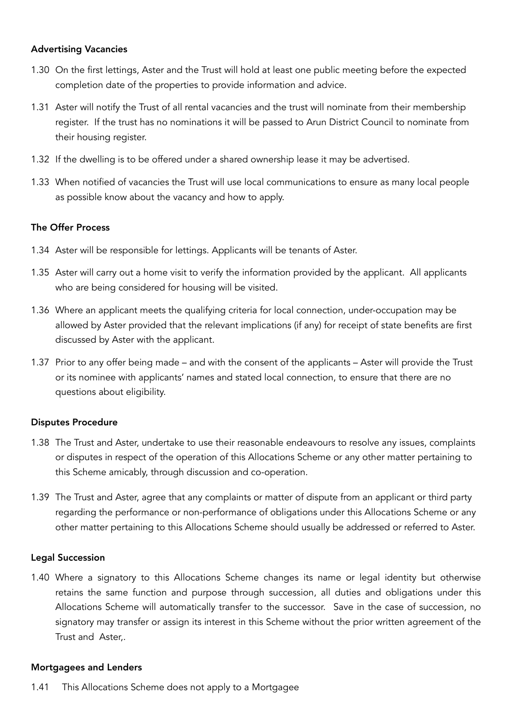#### Advertising Vacancies

- 1.30 On the first lettings, Aster and the Trust will hold at least one public meeting before the expected completion date of the properties to provide information and advice.
- 1.31 Aster will notify the Trust of all rental vacancies and the trust will nominate from their membership register. If the trust has no nominations it will be passed to Arun District Council to nominate from their housing register.
- 1.32 If the dwelling is to be offered under a shared ownership lease it may be advertised.
- 1.33 When notified of vacancies the Trust will use local communications to ensure as many local people as possible know about the vacancy and how to apply.

#### The Offer Process

- 1.34 Aster will be responsible for lettings. Applicants will be tenants of Aster.
- 1.35 Aster will carry out a home visit to verify the information provided by the applicant. All applicants who are being considered for housing will be visited.
- 1.36 Where an applicant meets the qualifying criteria for local connection, under-occupation may be allowed by Aster provided that the relevant implications (if any) for receipt of state benefits are first discussed by Aster with the applicant.
- 1.37 Prior to any offer being made and with the consent of the applicants Aster will provide the Trust or its nominee with applicants' names and stated local connection, to ensure that there are no questions about eligibility.

### Disputes Procedure

- 1.38 The Trust and Aster, undertake to use their reasonable endeavours to resolve any issues, complaints or disputes in respect of the operation of this Allocations Scheme or any other matter pertaining to this Scheme amicably, through discussion and co-operation.
- 1.39 The Trust and Aster, agree that any complaints or matter of dispute from an applicant or third party regarding the performance or non-performance of obligations under this Allocations Scheme or any other matter pertaining to this Allocations Scheme should usually be addressed or referred to Aster.

### Legal Succession

1.40 Where a signatory to this Allocations Scheme changes its name or legal identity but otherwise retains the same function and purpose through succession, all duties and obligations under this Allocations Scheme will automatically transfer to the successor. Save in the case of succession, no signatory may transfer or assign its interest in this Scheme without the prior written agreement of the Trust and Aster,.

#### Mortgagees and Lenders

1.41 This Allocations Scheme does not apply to a Mortgagee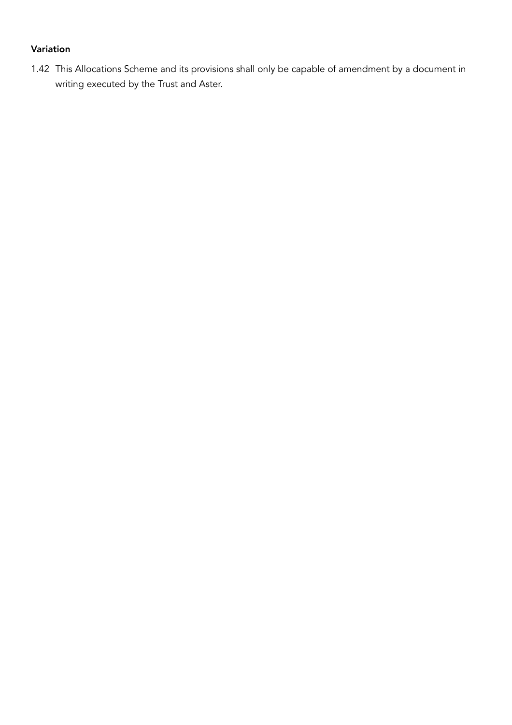### Variation

1.42 This Allocations Scheme and its provisions shall only be capable of amendment by a document in writing executed by the Trust and Aster.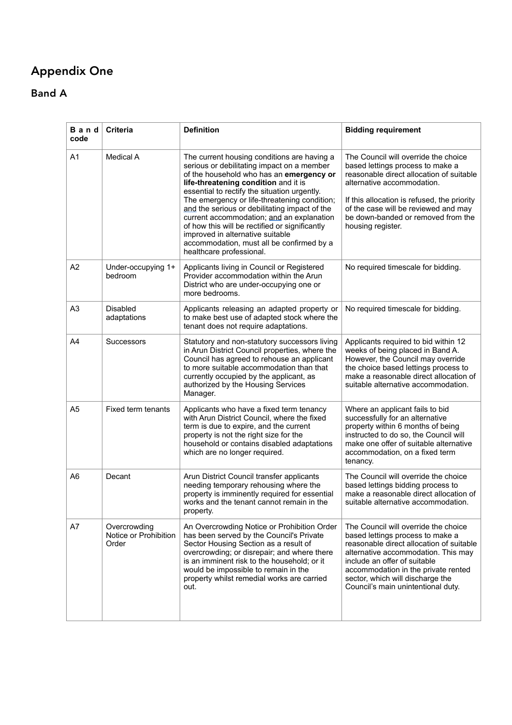## Appendix One

Band A

| Band<br>code   | <b>Criteria</b>                                | <b>Definition</b>                                                                                                                                                                                                                                                                                                                                                                                                                                                                                                                          | <b>Bidding requirement</b>                                                                                                                                                                                                                                                                                   |
|----------------|------------------------------------------------|--------------------------------------------------------------------------------------------------------------------------------------------------------------------------------------------------------------------------------------------------------------------------------------------------------------------------------------------------------------------------------------------------------------------------------------------------------------------------------------------------------------------------------------------|--------------------------------------------------------------------------------------------------------------------------------------------------------------------------------------------------------------------------------------------------------------------------------------------------------------|
| A1             | Medical A                                      | The current housing conditions are having a<br>serious or debilitating impact on a member<br>of the household who has an emergency or<br>life-threatening condition and it is<br>essential to rectify the situation urgently.<br>The emergency or life-threatening condition;<br>and the serious or debilitating impact of the<br>current accommodation; and an explanation<br>of how this will be rectified or significantly<br>improved in alternative suitable<br>accommodation, must all be confirmed by a<br>healthcare professional. | The Council will override the choice<br>based lettings process to make a<br>reasonable direct allocation of suitable<br>alternative accommodation.<br>If this allocation is refused, the priority<br>of the case will be reviewed and may<br>be down-banded or removed from the<br>housing register.         |
| A <sub>2</sub> | Under-occupying 1+<br>bedroom                  | Applicants living in Council or Registered<br>Provider accommodation within the Arun<br>District who are under-occupying one or<br>more bedrooms.                                                                                                                                                                                                                                                                                                                                                                                          | No required timescale for bidding.                                                                                                                                                                                                                                                                           |
| A <sub>3</sub> | <b>Disabled</b><br>adaptations                 | Applicants releasing an adapted property or<br>to make best use of adapted stock where the<br>tenant does not require adaptations.                                                                                                                                                                                                                                                                                                                                                                                                         | No required timescale for bidding.                                                                                                                                                                                                                                                                           |
| A4             | Successors                                     | Statutory and non-statutory successors living<br>in Arun District Council properties, where the<br>Council has agreed to rehouse an applicant<br>to more suitable accommodation than that<br>currently occupied by the applicant, as<br>authorized by the Housing Services<br>Manager.                                                                                                                                                                                                                                                     | Applicants required to bid within 12<br>weeks of being placed in Band A.<br>However, the Council may override<br>the choice based lettings process to<br>make a reasonable direct allocation of<br>suitable alternative accommodation.                                                                       |
| A <sub>5</sub> | Fixed term tenants                             | Applicants who have a fixed term tenancy<br>with Arun District Council, where the fixed<br>term is due to expire, and the current<br>property is not the right size for the<br>household or contains disabled adaptations<br>which are no longer required.                                                                                                                                                                                                                                                                                 | Where an applicant fails to bid<br>successfully for an alternative<br>property within 6 months of being<br>instructed to do so, the Council will<br>make one offer of suitable alternative<br>accommodation, on a fixed term<br>tenancy.                                                                     |
| A6             | Decant                                         | Arun District Council transfer applicants<br>needing temporary rehousing where the<br>property is imminently required for essential<br>works and the tenant cannot remain in the<br>property.                                                                                                                                                                                                                                                                                                                                              | The Council will override the choice<br>based lettings bidding process to<br>make a reasonable direct allocation of<br>suitable alternative accommodation.                                                                                                                                                   |
| A7             | Overcrowding<br>Notice or Prohibition<br>Order | An Overcrowding Notice or Prohibition Order<br>has been served by the Council's Private<br>Sector Housing Section as a result of<br>overcrowding; or disrepair; and where there<br>is an imminent risk to the household; or it<br>would be impossible to remain in the<br>property whilst remedial works are carried<br>out.                                                                                                                                                                                                               | The Council will override the choice<br>based lettings process to make a<br>reasonable direct allocation of suitable<br>alternative accommodation. This may<br>include an offer of suitable<br>accommodation in the private rented<br>sector, which will discharge the<br>Council's main unintentional duty. |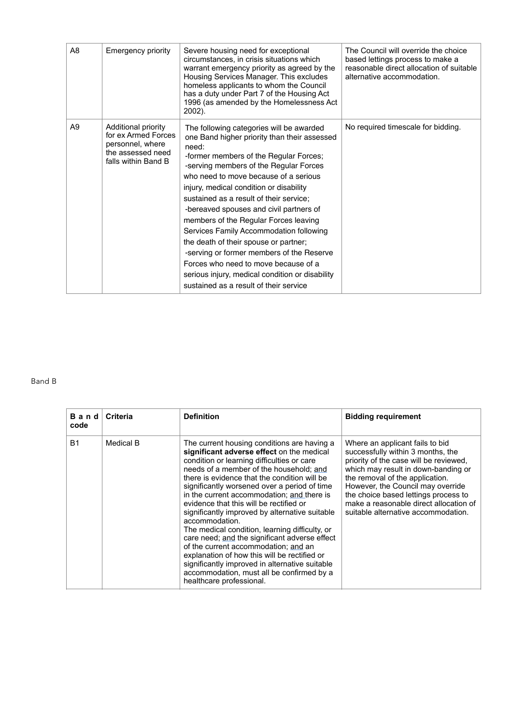| A8             | <b>Emergency priority</b>                                                                                  | Severe housing need for exceptional<br>circumstances, in crisis situations which<br>warrant emergency priority as agreed by the<br>Housing Services Manager. This excludes<br>homeless applicants to whom the Council<br>has a duty under Part 7 of the Housing Act<br>1996 (as amended by the Homelessness Act<br>$2002$ ).                                                                                                                                                                                                                                                                                                                                                   | The Council will override the choice<br>based lettings process to make a<br>reasonable direct allocation of suitable<br>alternative accommodation. |
|----------------|------------------------------------------------------------------------------------------------------------|--------------------------------------------------------------------------------------------------------------------------------------------------------------------------------------------------------------------------------------------------------------------------------------------------------------------------------------------------------------------------------------------------------------------------------------------------------------------------------------------------------------------------------------------------------------------------------------------------------------------------------------------------------------------------------|----------------------------------------------------------------------------------------------------------------------------------------------------|
| A <sub>9</sub> | Additional priority<br>for ex Armed Forces<br>personnel, where<br>the assessed need<br>falls within Band B | The following categories will be awarded<br>one Band higher priority than their assessed<br>need:<br>-former members of the Regular Forces;<br>-serving members of the Regular Forces<br>who need to move because of a serious<br>injury, medical condition or disability<br>sustained as a result of their service;<br>-bereaved spouses and civil partners of<br>members of the Regular Forces leaving<br>Services Family Accommodation following<br>the death of their spouse or partner;<br>-serving or former members of the Reserve<br>Forces who need to move because of a<br>serious injury, medical condition or disability<br>sustained as a result of their service | No required timescale for bidding.                                                                                                                 |

#### Band B

| Band<br>code | <b>Criteria</b> | <b>Definition</b>                                                                                                                                                                                                                                                                                                                                                                                                                                                                                                                                                                                                                                                                                                                                                    | <b>Bidding requirement</b>                                                                                                                                                                                                                                                                                                                             |
|--------------|-----------------|----------------------------------------------------------------------------------------------------------------------------------------------------------------------------------------------------------------------------------------------------------------------------------------------------------------------------------------------------------------------------------------------------------------------------------------------------------------------------------------------------------------------------------------------------------------------------------------------------------------------------------------------------------------------------------------------------------------------------------------------------------------------|--------------------------------------------------------------------------------------------------------------------------------------------------------------------------------------------------------------------------------------------------------------------------------------------------------------------------------------------------------|
| <b>B1</b>    | Medical B       | The current housing conditions are having a<br>significant adverse effect on the medical<br>condition or learning difficulties or care<br>needs of a member of the household: and<br>there is evidence that the condition will be<br>significantly worsened over a period of time<br>in the current accommodation: and there is<br>evidence that this will be rectified or<br>significantly improved by alternative suitable<br>accommodation.<br>The medical condition, learning difficulty, or<br>care need; and the significant adverse effect<br>of the current accommodation; and an<br>explanation of how this will be rectified or<br>significantly improved in alternative suitable<br>accommodation, must all be confirmed by a<br>healthcare professional. | Where an applicant fails to bid<br>successfully within 3 months, the<br>priority of the case will be reviewed,<br>which may result in down-banding or<br>the removal of the application.<br>However, the Council may override<br>the choice based lettings process to<br>make a reasonable direct allocation of<br>suitable alternative accommodation. |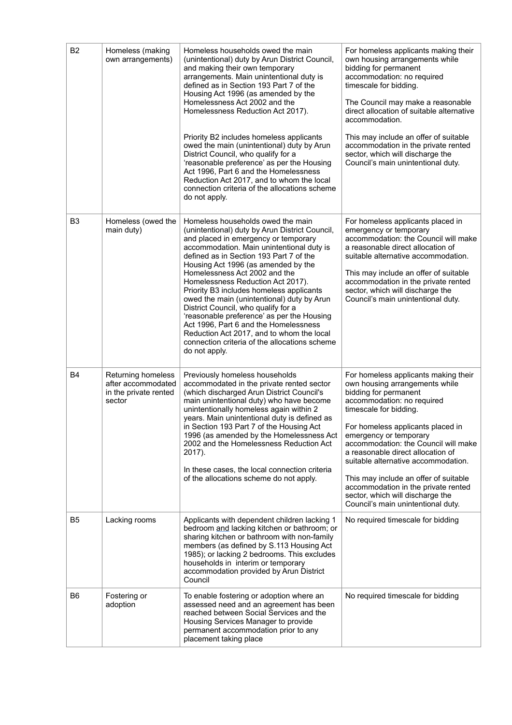| B <sub>2</sub> | Homeless (making<br>own arrangements)                                       | Homeless households owed the main<br>(unintentional) duty by Arun District Council,<br>and making their own temporary<br>arrangements. Main unintentional duty is<br>defined as in Section 193 Part 7 of the<br>Housing Act 1996 (as amended by the<br>Homelessness Act 2002 and the<br>Homelessness Reduction Act 2017).                                                                                                                                                                                                                                                                                                                                               | For homeless applicants making their<br>own housing arrangements while<br>bidding for permanent<br>accommodation: no required<br>timescale for bidding.<br>The Council may make a reasonable<br>direct allocation of suitable alternative<br>accommodation.                                                                                                                                                                                                                                          |
|----------------|-----------------------------------------------------------------------------|-------------------------------------------------------------------------------------------------------------------------------------------------------------------------------------------------------------------------------------------------------------------------------------------------------------------------------------------------------------------------------------------------------------------------------------------------------------------------------------------------------------------------------------------------------------------------------------------------------------------------------------------------------------------------|------------------------------------------------------------------------------------------------------------------------------------------------------------------------------------------------------------------------------------------------------------------------------------------------------------------------------------------------------------------------------------------------------------------------------------------------------------------------------------------------------|
|                |                                                                             | Priority B2 includes homeless applicants<br>owed the main (unintentional) duty by Arun<br>District Council, who qualify for a<br>'reasonable preference' as per the Housing<br>Act 1996, Part 6 and the Homelessness<br>Reduction Act 2017, and to whom the local<br>connection criteria of the allocations scheme<br>do not apply.                                                                                                                                                                                                                                                                                                                                     | This may include an offer of suitable<br>accommodation in the private rented<br>sector, which will discharge the<br>Council's main unintentional duty.                                                                                                                                                                                                                                                                                                                                               |
| B <sub>3</sub> | Homeless (owed the<br>main duty)                                            | Homeless households owed the main<br>(unintentional) duty by Arun District Council,<br>and placed in emergency or temporary<br>accommodation. Main unintentional duty is<br>defined as in Section 193 Part 7 of the<br>Housing Act 1996 (as amended by the<br>Homelessness Act 2002 and the<br>Homelessness Reduction Act 2017).<br>Priority B3 includes homeless applicants<br>owed the main (unintentional) duty by Arun<br>District Council, who qualify for a<br>'reasonable preference' as per the Housing<br>Act 1996, Part 6 and the Homelessness<br>Reduction Act 2017, and to whom the local<br>connection criteria of the allocations scheme<br>do not apply. | For homeless applicants placed in<br>emergency or temporary<br>accommodation: the Council will make<br>a reasonable direct allocation of<br>suitable alternative accommodation.<br>This may include an offer of suitable<br>accommodation in the private rented<br>sector, which will discharge the<br>Council's main unintentional duty.                                                                                                                                                            |
| B4             | Returning homeless<br>after accommodated<br>in the private rented<br>sector | Previously homeless households<br>accommodated in the private rented sector<br>(which discharged Arun District Council's<br>main unintentional duty) who have become<br>unintentionally homeless again within 2<br>years. Main unintentional duty is defined as<br>in Section 193 Part 7 of the Housing Act<br>1996 (as amended by the Homelessness Act<br>2002 and the Homelessness Reduction Act<br>2017).<br>In these cases, the local connection criteria<br>of the allocations scheme do not apply.                                                                                                                                                                | For homeless applicants making their<br>own housing arrangements while<br>bidding for permanent<br>accommodation: no required<br>timescale for bidding.<br>For homeless applicants placed in<br>emergency or temporary<br>accommodation: the Council will make<br>a reasonable direct allocation of<br>suitable alternative accommodation.<br>This may include an offer of suitable<br>accommodation in the private rented<br>sector, which will discharge the<br>Council's main unintentional duty. |
| B5             | Lacking rooms                                                               | Applicants with dependent children lacking 1<br>bedroom and lacking kitchen or bathroom; or<br>sharing kitchen or bathroom with non-family<br>members (as defined by S.113 Housing Act<br>1985); or lacking 2 bedrooms. This excludes<br>households in interim or temporary<br>accommodation provided by Arun District<br>Council                                                                                                                                                                                                                                                                                                                                       | No required timescale for bidding                                                                                                                                                                                                                                                                                                                                                                                                                                                                    |
| B6             | Fostering or<br>adoption                                                    | To enable fostering or adoption where an<br>assessed need and an agreement has been<br>reached between Social Services and the<br>Housing Services Manager to provide<br>permanent accommodation prior to any<br>placement taking place                                                                                                                                                                                                                                                                                                                                                                                                                                 | No required timescale for bidding                                                                                                                                                                                                                                                                                                                                                                                                                                                                    |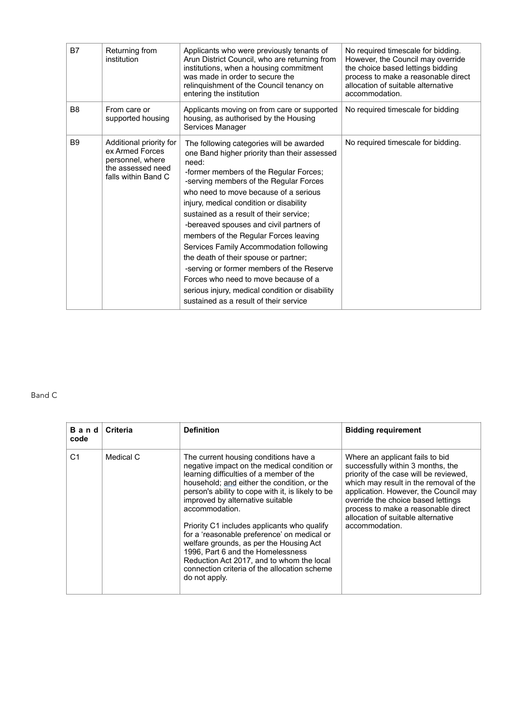| B7             | Returning from<br>institution                                                                              | Applicants who were previously tenants of<br>Arun District Council, who are returning from<br>institutions, when a housing commitment<br>was made in order to secure the<br>relinquishment of the Council tenancy on<br>entering the institution                                                                                                                                                                                                                                                                                                                                                                                                                               | No required timescale for bidding.<br>However, the Council may override<br>the choice based lettings bidding<br>process to make a reasonable direct<br>allocation of suitable alternative<br>accommodation. |
|----------------|------------------------------------------------------------------------------------------------------------|--------------------------------------------------------------------------------------------------------------------------------------------------------------------------------------------------------------------------------------------------------------------------------------------------------------------------------------------------------------------------------------------------------------------------------------------------------------------------------------------------------------------------------------------------------------------------------------------------------------------------------------------------------------------------------|-------------------------------------------------------------------------------------------------------------------------------------------------------------------------------------------------------------|
| B <sub>8</sub> | From care or<br>supported housing                                                                          | Applicants moving on from care or supported<br>housing, as authorised by the Housing<br>Services Manager                                                                                                                                                                                                                                                                                                                                                                                                                                                                                                                                                                       | No required timescale for bidding                                                                                                                                                                           |
| B <sub>9</sub> | Additional priority for<br>ex Armed Forces<br>personnel, where<br>the assessed need<br>falls within Band C | The following categories will be awarded<br>one Band higher priority than their assessed<br>need:<br>-former members of the Regular Forces;<br>-serving members of the Regular Forces<br>who need to move because of a serious<br>injury, medical condition or disability<br>sustained as a result of their service;<br>-bereaved spouses and civil partners of<br>members of the Regular Forces leaving<br>Services Family Accommodation following<br>the death of their spouse or partner;<br>-serving or former members of the Reserve<br>Forces who need to move because of a<br>serious injury, medical condition or disability<br>sustained as a result of their service | No required timescale for bidding.                                                                                                                                                                          |

#### Band C

| Band<br>code   | Criteria  | <b>Definition</b>                                                                                                                                                                                                                                                                                                                                                                                                                                                                                                                                                                      | <b>Bidding requirement</b>                                                                                                                                                                                                                                                                                                             |
|----------------|-----------|----------------------------------------------------------------------------------------------------------------------------------------------------------------------------------------------------------------------------------------------------------------------------------------------------------------------------------------------------------------------------------------------------------------------------------------------------------------------------------------------------------------------------------------------------------------------------------------|----------------------------------------------------------------------------------------------------------------------------------------------------------------------------------------------------------------------------------------------------------------------------------------------------------------------------------------|
| C <sub>1</sub> | Medical C | The current housing conditions have a<br>negative impact on the medical condition or<br>learning difficulties of a member of the<br>household; and either the condition, or the<br>person's ability to cope with it, is likely to be<br>improved by alternative suitable<br>accommodation.<br>Priority C1 includes applicants who qualify<br>for a 'reasonable preference' on medical or<br>welfare grounds, as per the Housing Act<br>1996, Part 6 and the Homelessness<br>Reduction Act 2017, and to whom the local<br>connection criteria of the allocation scheme<br>do not apply. | Where an applicant fails to bid<br>successfully within 3 months, the<br>priority of the case will be reviewed,<br>which may result in the removal of the<br>application. However, the Council may<br>override the choice based lettings<br>process to make a reasonable direct<br>allocation of suitable alternative<br>accommodation. |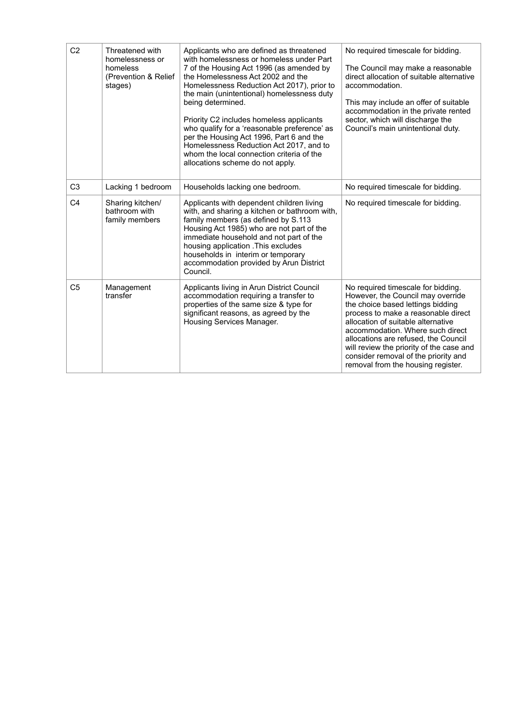| C <sub>2</sub> | Threatened with<br>homelessness or<br>homeless<br>(Prevention & Relief<br>stages) | Applicants who are defined as threatened<br>with homelessness or homeless under Part<br>7 of the Housing Act 1996 (as amended by<br>the Homelessness Act 2002 and the<br>Homelessness Reduction Act 2017), prior to<br>the main (unintentional) homelessness duty<br>being determined.<br>Priority C2 includes homeless applicants<br>who qualify for a 'reasonable preference' as<br>per the Housing Act 1996, Part 6 and the<br>Homelessness Reduction Act 2017, and to<br>whom the local connection criteria of the<br>allocations scheme do not apply. | No required timescale for bidding.<br>The Council may make a reasonable<br>direct allocation of suitable alternative<br>accommodation.<br>This may include an offer of suitable<br>accommodation in the private rented<br>sector, which will discharge the<br>Council's main unintentional duty.                                                                                                |
|----------------|-----------------------------------------------------------------------------------|------------------------------------------------------------------------------------------------------------------------------------------------------------------------------------------------------------------------------------------------------------------------------------------------------------------------------------------------------------------------------------------------------------------------------------------------------------------------------------------------------------------------------------------------------------|-------------------------------------------------------------------------------------------------------------------------------------------------------------------------------------------------------------------------------------------------------------------------------------------------------------------------------------------------------------------------------------------------|
| C <sub>3</sub> | Lacking 1 bedroom                                                                 | Households lacking one bedroom.                                                                                                                                                                                                                                                                                                                                                                                                                                                                                                                            | No required timescale for bidding.                                                                                                                                                                                                                                                                                                                                                              |
| C <sub>4</sub> | Sharing kitchen/<br>bathroom with<br>family members                               | Applicants with dependent children living<br>with, and sharing a kitchen or bathroom with,<br>family members (as defined by S.113<br>Housing Act 1985) who are not part of the<br>immediate household and not part of the<br>housing application . This excludes<br>households in interim or temporary<br>accommodation provided by Arun District<br>Council.                                                                                                                                                                                              | No required timescale for bidding.                                                                                                                                                                                                                                                                                                                                                              |
| C <sub>5</sub> | Management<br>transfer                                                            | Applicants living in Arun District Council<br>accommodation requiring a transfer to<br>properties of the same size & type for<br>significant reasons, as agreed by the<br>Housing Services Manager.                                                                                                                                                                                                                                                                                                                                                        | No required timescale for bidding.<br>However, the Council may override<br>the choice based lettings bidding<br>process to make a reasonable direct<br>allocation of suitable alternative<br>accommodation. Where such direct<br>allocations are refused, the Council<br>will review the priority of the case and<br>consider removal of the priority and<br>removal from the housing register. |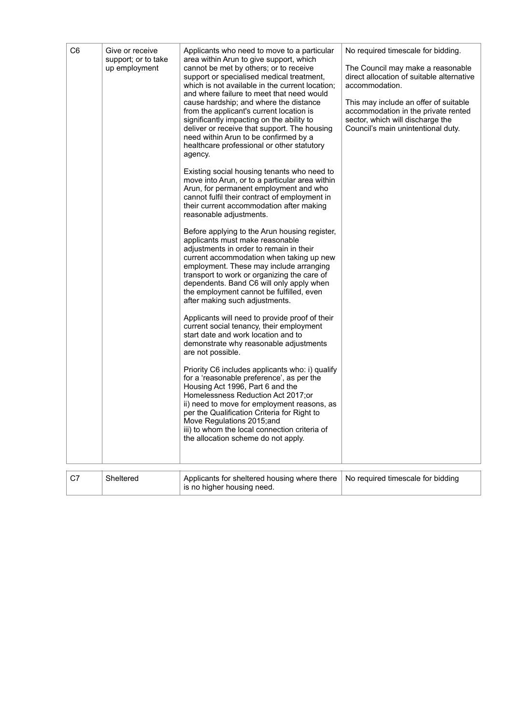| C6 | Give or receive<br>support; or to take<br>up employment | Applicants who need to move to a particular<br>area within Arun to give support, which<br>cannot be met by others; or to receive<br>support or specialised medical treatment,<br>which is not available in the current location;<br>and where failure to meet that need would<br>cause hardship; and where the distance<br>from the applicant's current location is<br>significantly impacting on the ability to<br>deliver or receive that support. The housing<br>need within Arun to be confirmed by a<br>healthcare professional or other statutory<br>agency.<br>Existing social housing tenants who need to<br>move into Arun, or to a particular area within<br>Arun, for permanent employment and who<br>cannot fulfil their contract of employment in<br>their current accommodation after making<br>reasonable adjustments.<br>Before applying to the Arun housing register,<br>applicants must make reasonable<br>adjustments in order to remain in their<br>current accommodation when taking up new<br>employment. These may include arranging<br>transport to work or organizing the care of<br>dependents. Band C6 will only apply when<br>the employment cannot be fulfilled, even<br>after making such adjustments.<br>Applicants will need to provide proof of their<br>current social tenancy, their employment<br>start date and work location and to<br>demonstrate why reasonable adjustments<br>are not possible.<br>Priority C6 includes applicants who: i) qualify<br>for a 'reasonable preference', as per the<br>Housing Act 1996, Part 6 and the<br>Homelessness Reduction Act 2017;or<br>ii) need to move for employment reasons, as<br>per the Qualification Criteria for Right to<br>Move Regulations 2015;and<br>iii) to whom the local connection criteria of<br>the allocation scheme do not apply. | No required timescale for bidding.<br>The Council may make a reasonable<br>direct allocation of suitable alternative<br>accommodation.<br>This may include an offer of suitable<br>accommodation in the private rented<br>sector, which will discharge the<br>Council's main unintentional duty. |
|----|---------------------------------------------------------|---------------------------------------------------------------------------------------------------------------------------------------------------------------------------------------------------------------------------------------------------------------------------------------------------------------------------------------------------------------------------------------------------------------------------------------------------------------------------------------------------------------------------------------------------------------------------------------------------------------------------------------------------------------------------------------------------------------------------------------------------------------------------------------------------------------------------------------------------------------------------------------------------------------------------------------------------------------------------------------------------------------------------------------------------------------------------------------------------------------------------------------------------------------------------------------------------------------------------------------------------------------------------------------------------------------------------------------------------------------------------------------------------------------------------------------------------------------------------------------------------------------------------------------------------------------------------------------------------------------------------------------------------------------------------------------------------------------------------------------------------------------------------------------------------------------------------------------|--------------------------------------------------------------------------------------------------------------------------------------------------------------------------------------------------------------------------------------------------------------------------------------------------|
| C7 | Sheltered                                               | Applicants for sheltered housing where there<br>is no higher housing need.                                                                                                                                                                                                                                                                                                                                                                                                                                                                                                                                                                                                                                                                                                                                                                                                                                                                                                                                                                                                                                                                                                                                                                                                                                                                                                                                                                                                                                                                                                                                                                                                                                                                                                                                                            | No required timescale for bidding                                                                                                                                                                                                                                                                |